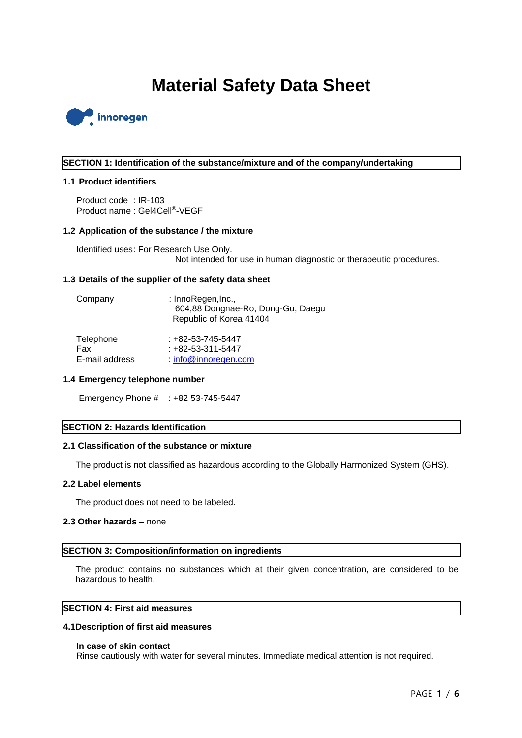# **Material Safety Data Sheet**



#### **SECTION 1: Identification of the substance/mixture and of the company/undertaking**

#### **1.1 Product identifiers**

Product code : IR-103 Product name: Gel4Cell<sup>®</sup>-VEGF

#### **1.2 Application of the substance / the mixture**

Identified uses: For Research Use Only. Not intended for use in human diagnostic or therapeutic procedures.

#### **1.3 Details of the supplier of the safety data sheet**

| Company        | : InnoRegen, Inc.,<br>604,88 Dongnae-Ro, Dong-Gu, Daegu<br>Republic of Korea 41404 |
|----------------|------------------------------------------------------------------------------------|
| Telephone      | $: +82 - 53 - 745 - 5447$                                                          |
| Fax            | $: +82 - 53 - 311 - 5447$                                                          |
| E-mail address | info@innoregen.com                                                                 |

#### **1.4 Emergency telephone number**

Emergency Phone # : +82 53-745-5447

## **SECTION 2: Hazards Identification**

#### **2.1 Classification of the substance or mixture**

The product is not classified as hazardous according to the Globally Harmonized System (GHS).

#### **2.2 Label elements**

The product does not need to be labeled.

#### **2.3 Other hazards** – none

#### **SECTION 3: Composition/information on ingredients**

The product contains no substances which at their given concentration, are considered to be hazardous to health.

## **SECTION 4: First aid measures**

#### **4.1Description of first aid measures**

#### **In case of skin contact**

Rinse cautiously with water for several minutes. Immediate medical attention is not required.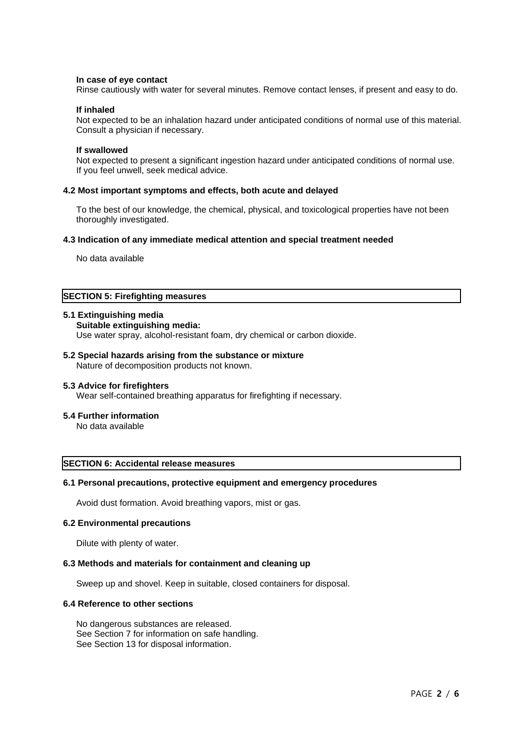#### **In case of eye contact**

Rinse cautiously with water for several minutes. Remove contact lenses, if present and easy to do.

#### **If inhaled**

Not expected to be an inhalation hazard under anticipated conditions of normal use of this material. Consult a physician if necessary.

#### **If swallowed**

Not expected to present a significant ingestion hazard under anticipated conditions of normal use. If you feel unwell, seek medical advice.

#### **4.2 Most important symptoms and effects, both acute and delayed**

To the best of our knowledge, the chemical, physical, and toxicological properties have not been thoroughly investigated.

#### **4.3 Indication of any immediate medical attention and special treatment needed**

No data available

## **SECTION 5: Firefighting measures**

#### **5.1 Extinguishing media**

```
Suitable extinguishing media:
```
Use water spray, alcohol-resistant foam, dry chemical or carbon dioxide.

## **5.2 Special hazards arising from the substance or mixture**

Nature of decomposition products not known.

#### **5.3 Advice for firefighters**

Wear self-contained breathing apparatus for firefighting if necessary.

#### **5.4 Further information**

No data available

## **SECTION 6: Accidental release measures**

## **6.1 Personal precautions, protective equipment and emergency procedures**

Avoid dust formation. Avoid breathing vapors, mist or gas.

#### **6.2 Environmental precautions**

Dilute with plenty of water.

## **6.3 Methods and materials for containment and cleaning up**

Sweep up and shovel. Keep in suitable, closed containers for disposal.

#### **6.4 Reference to other sections**

No dangerous substances are released. See Section 7 for information on safe handling. See Section 13 for disposal information.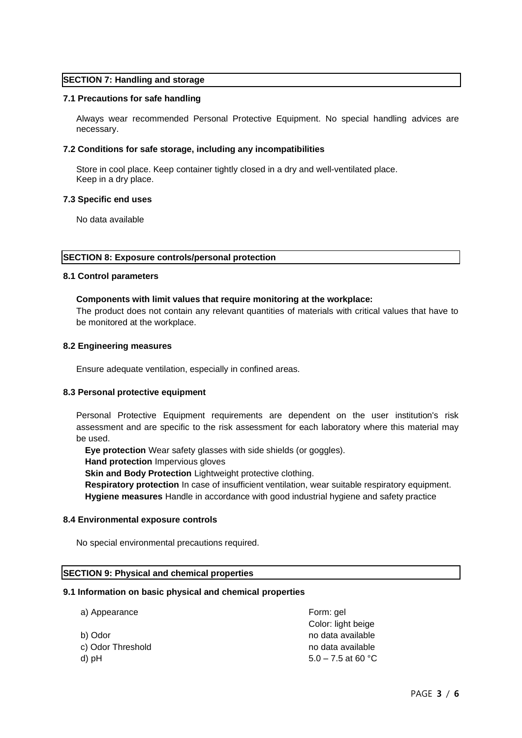## **SECTION 7: Handling and storage**

#### **7.1 Precautions for safe handling**

Always wear recommended Personal Protective Equipment. No special handling advices are necessary.

## **7.2 Conditions for safe storage, including any incompatibilities**

Store in cool place. Keep container tightly closed in a dry and well-ventilated place. Keep in a dry place.

#### **7.3 Specific end uses**

No data available

**SECTION 8: Exposure controls/personal protection**

#### **8.1 Control parameters**

#### **Components with limit values that require monitoring at the workplace:**

The product does not contain any relevant quantities of materials with critical values that have to be monitored at the workplace.

#### **8.2 Engineering measures**

Ensure adequate ventilation, especially in confined areas.

## **8.3 Personal protective equipment**

Personal Protective Equipment requirements are dependent on the user institution's risk assessment and are specific to the risk assessment for each laboratory where this material may be used.

**Eye protection** Wear safety glasses with side shields (or goggles).

**Hand protection** Impervious gloves

**Skin and Body Protection** Lightweight protective clothing.

**Respiratory protection** In case of insufficient ventilation, wear suitable respiratory equipment. **Hygiene measures** Handle in accordance with good industrial hygiene and safety practice

#### **8.4 Environmental exposure controls**

No special environmental precautions required.

## **SECTION 9: Physical and chemical properties**

#### **9.1 Information on basic physical and chemical properties**

| Form: gel          |
|--------------------|
| Color: light beige |
| no data available  |
| no data available  |
| 5.0 – 7.5 at 60 °C |
|                    |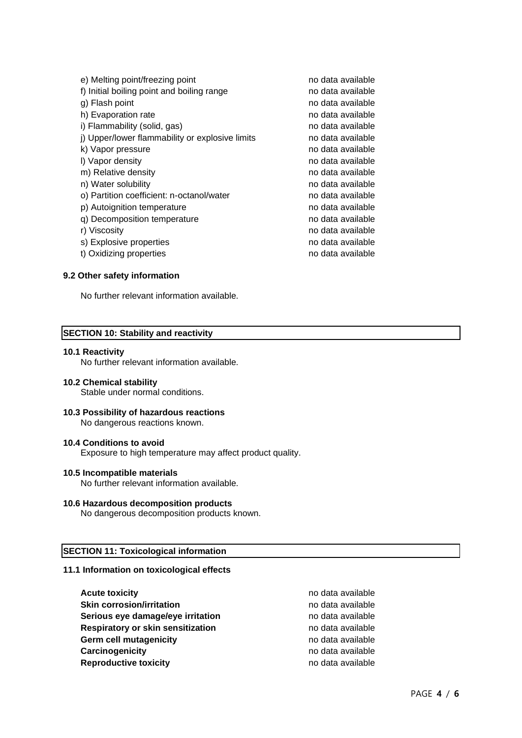| e) Melting point/freezing point                 | no data available |
|-------------------------------------------------|-------------------|
| f) Initial boiling point and boiling range      | no data available |
| g) Flash point                                  | no data available |
| h) Evaporation rate                             | no data available |
| i) Flammability (solid, gas)                    | no data available |
| j) Upper/lower flammability or explosive limits | no data available |
| k) Vapor pressure                               | no data available |
| I) Vapor density                                | no data available |
| m) Relative density                             | no data available |
| n) Water solubility                             | no data available |
| o) Partition coefficient: n-octanol/water       | no data available |
| p) Autoignition temperature                     | no data available |
| q) Decomposition temperature                    | no data available |
| r) Viscosity                                    | no data available |
| s) Explosive properties                         | no data available |
| t) Oxidizing properties                         | no data available |
|                                                 |                   |

## **9.2 Other safety information**

No further relevant information available.

#### **SECTION 10: Stability and reactivity**

#### **10.1 Reactivity**

No further relevant information available.

#### **10.2 Chemical stability**

Stable under normal conditions.

#### **10.3 Possibility of hazardous reactions** No dangerous reactions known.

#### **10.4 Conditions to avoid**

Exposure to high temperature may affect product quality.

#### **10.5 Incompatible materials**

No further relevant information available.

## **10.6 Hazardous decomposition products**

No dangerous decomposition products known.

## **SECTION 11: Toxicological information**

## **11.1 Information on toxicological effects**

**Acute toxicity and a** *Acute toxicity* **no data available Skin corrosion/irritation** no data available **Serious eye damage/eye irritation** example a no data available **Respiratory or skin sensitization** no data available Germ cell mutagenicity **contains a container and available** no data available **Carcinogenicity Carcinogenicity no data available Reproductive toxicity no data available**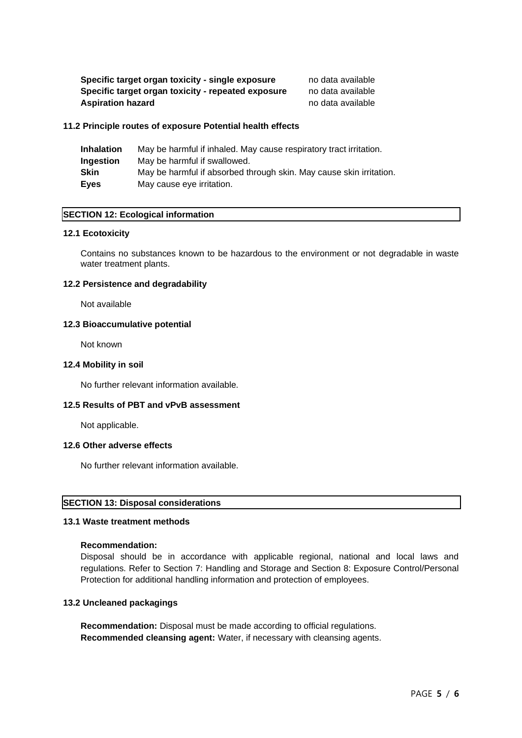| Specific target organ toxicity - single exposure   | no data available |
|----------------------------------------------------|-------------------|
| Specific target organ toxicity - repeated exposure | no data available |
| <b>Aspiration hazard</b>                           | no data available |

#### **11.2 Principle routes of exposure Potential health effects**

| <b>Inhalation</b> | May be harmful if inhaled. May cause respiratory tract irritation.  |
|-------------------|---------------------------------------------------------------------|
| Ingestion         | May be harmful if swallowed.                                        |
| Skin              | May be harmful if absorbed through skin. May cause skin irritation. |
| Eves              | May cause eye irritation.                                           |

## **SECTION 12: Ecological information**

#### **12.1 Ecotoxicity**

Contains no substances known to be hazardous to the environment or not degradable in waste water treatment plants.

## **12.2 Persistence and degradability**

Not available

## **12.3 Bioaccumulative potential**

Not known

#### **12.4 Mobility in soil**

No further relevant information available.

## **12.5 Results of PBT and vPvB assessment**

Not applicable.

## **12.6 Other adverse effects**

No further relevant information available.

## **SECTION 13: Disposal considerations**

## **13.1 Waste treatment methods**

## **Recommendation:**

Disposal should be in accordance with applicable regional, national and local laws and regulations. Refer to Section 7: Handling and Storage and Section 8: Exposure Control/Personal Protection for additional handling information and protection of employees.

## **13.2 Uncleaned packagings**

**Recommendation:** Disposal must be made according to official regulations. **Recommended cleansing agent:** Water, if necessary with cleansing agents.